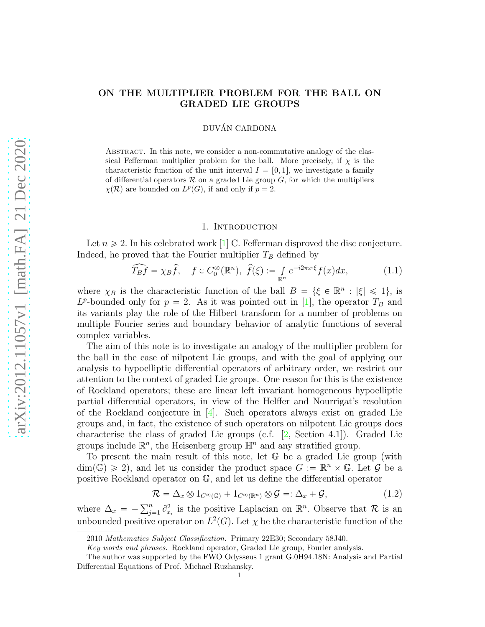# ON THE MULTIPLIER PROBLEM FOR THE BALL ON GRADED LIE GROUPS

## DUVÁN CARDONA

ABSTRACT. In this note, we consider a non-commutative analogy of the classical Fefferman multiplier problem for the ball. More precisely, if  $\chi$  is the characteristic function of the unit interval  $I = [0, 1]$ , we investigate a family of differential operators  $\mathcal R$  on a graded Lie group  $G$ , for which the multipliers  $\chi(\mathcal{R})$  are bounded on  $L^p(G)$ , if and only if  $p = 2$ .

#### 1. Introduction

Let  $n \geq 2$ . In his celebrated work [\[1\]](#page-9-0) C. Fefferman disproved the disc conjecture. Indeed, he proved that the Fourier multiplier  $T_B$  defined by

$$
\widehat{T_B f} = \chi_B \widehat{f}, \quad f \in C_0^{\infty}(\mathbb{R}^n), \ \widehat{f}(\xi) := \int_{\mathbb{R}^n} e^{-i2\pi x \cdot \xi} f(x) dx, \tag{1.1}
$$

where  $\chi_B$  is the characteristic function of the ball  $B = \{ \xi \in \mathbb{R}^n : |\xi| \leq 1 \}$ , is  $L^p$ -bounded only for  $p = 2$ . As it was pointed out in [\[1\]](#page-9-0), the operator  $T_B$  and its variants play the role of the Hilbert transform for a number of problems on multiple Fourier series and boundary behavior of analytic functions of several complex variables.

The aim of this note is to investigate an analogy of the multiplier problem for the ball in the case of nilpotent Lie groups, and with the goal of applying our analysis to hypoelliptic differential operators of arbitrary order, we restrict our attention to the context of graded Lie groups. One reason for this is the existence of Rockland operators; these are linear left invariant homogeneous hypoelliptic partial differential operators, in view of the Helffer and Nourrigat's resolution of the Rockland conjecture in  $[4]$ . Such operators always exist on graded Lie groups and, in fact, the existence of such operators on nilpotent Lie groups does characterise the class of graded Lie groups (c.f. [\[2,](#page-9-2) Section 4.1]). Graded Lie groups include  $\mathbb{R}^n$ , the Heisenberg group  $\mathbb{H}^n$  and any stratified group.

To present the main result of this note, let G be a graded Lie group (with  $\dim(\mathbb{G}) \geq 2$ , and let us consider the product space  $G := \mathbb{R}^n \times \mathbb{G}$ . Let  $\mathcal{G}$  be a positive Rockland operator on G, and let us define the differential operator

$$
\mathcal{R} = \Delta_x \otimes 1_{C^{\infty}(\mathbb{G})} + 1_{C^{\infty}(\mathbb{R}^n)} \otimes \mathcal{G} =: \Delta_x + \mathcal{G},
$$
\n(1.2)

where  $\Delta_x = -\sum_{j=1}^n \partial_x^2$  $x_i^2$  is the positive Laplacian on  $\mathbb{R}^n$ . Observe that R is an unbounded positive operator on  $L^2(G)$ . Let  $\chi$  be the characteristic function of the

<sup>2010</sup> Mathematics Subject Classification. Primary 22E30; Secondary 58J40.

Key words and phrases. Rockland operator, Graded Lie group, Fourier analysis.

The author was supported by the FWO Odysseus 1 grant G.0H94.18N: Analysis and Partial Differential Equations of Prof. Michael Ruzhansky.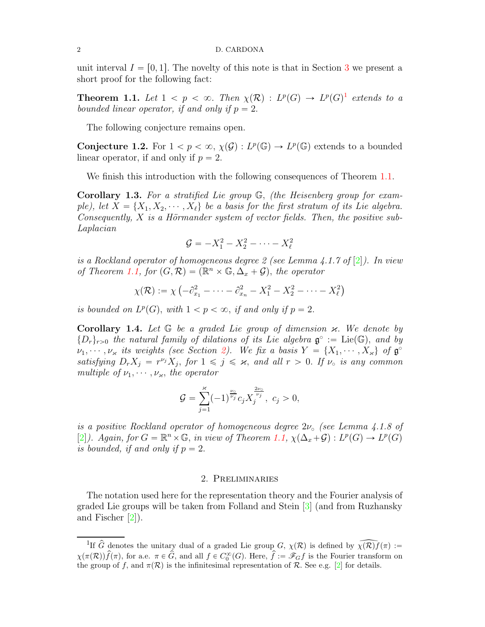unit interval  $I = [0, 1]$ . The novelty of this note is that in Section [3](#page-3-0) we present a short proof for the following fact:

<span id="page-1-1"></span>**Theorem [1](#page-1-0).1.** Let  $1 < p < \infty$ . Then  $\chi(\mathcal{R}) : L^p(G) \to L^p(G)^1$  extends to a bounded linear operator, if and only if  $p = 2$ .

The following conjecture remains open.

**Conjecture 1.2.** For  $1 < p < \infty$ ,  $\chi(\mathcal{G}) : L^p(\mathbb{G}) \to L^p(\mathbb{G})$  extends to a bounded linear operator, if and only if  $p = 2$ .

We finish this introduction with the following consequences of Theorem [1.1.](#page-1-1)

**Corollary 1.3.** For a stratified Lie group  $\mathbb{G}$ , (the Heisenberg group for example), let  $X = \{X_1, X_2, \dots, X_\ell\}$  be a basis for the first stratum of its Lie algebra. Consequently,  $X$  is a Hörmander system of vector fields. Then, the positive sub-Laplacian

$$
\mathcal{G} = -X_1^2 - X_2^2 - \cdots - X_\ell^2
$$

is a Rockland operator of homogeneous degree 2 (see Lemma 4.1.7 of  $[2]$ ). In view of Theorem [1.1,](#page-1-1) for  $(G, \mathcal{R}) = (\mathbb{R}^n \times \mathbb{G}, \Delta_x + \mathcal{G})$ , the operator

$$
\chi(\mathcal{R}) := \chi \left( -\partial_{x_1}^2 - \dots - \partial_{x_n}^2 - X_1^2 - X_2^2 - \dots - X_\ell^2 \right)
$$

is bounded on  $L^p(G)$ , with  $1 < p < \infty$ , if and only if  $p = 2$ .

**Corollary 1.4.** Let  $\mathbb{G}$  be a graded Lie group of dimension  $\varkappa$ . We denote by  $\{D_r\}_{r>0}$  the natural family of dilations of its Lie algebra  $\mathfrak{g}^\circ := \mathrm{Lie}(\mathbb{G})$ , and by  $\nu_1, \dots, \nu_\varkappa$  its weights (see Section [2\)](#page-1-2). We fix a basis  $Y = \{X_1, \dots, X_\varkappa\}$  of  $\mathfrak{g}^{\circ}$ satisfying  $D_r X_j = r^{\nu_j} X_j$ , for  $1 \leq j \leq \varkappa$ , and all  $r > 0$ . If  $\nu_o$  is any common multiple of  $\nu_1, \dots, \nu_\varkappa$ , the operator

$$
\mathcal{G} = \sum_{j=1}^{\varkappa} (-1)^{\frac{\nu_0}{\nu_j}} c_j X_j^{\frac{2\nu_0}{\nu_j}}, \ c_j > 0,
$$

is a positive Rockland operator of homogeneous degree  $2\nu_{\circ}$  (see Lemma 4.1.8 of [\[2\]](#page-9-2)). Again, for  $G = \mathbb{R}^n \times \mathbb{G}$ , in view of Theorem [1.1,](#page-1-1)  $\chi(\Delta_x + \mathcal{G}) : L^p(G) \to L^p(G)$ is bounded, if and only if  $p = 2$ .

### 2. Preliminaries

<span id="page-1-2"></span>The notation used here for the representation theory and the Fourier analysis of graded Lie groups will be taken from Folland and Stein [\[3\]](#page-9-3) (and from Ruzhansky and Fischer [\[2\]](#page-9-2)).

<span id="page-1-0"></span><sup>&</sup>lt;sup>1</sup>If  $\hat{G}$  denotes the unitary dual of a graded Lie group  $G$ ,  $\chi(\mathcal{R})$  is defined by  $\widehat{\chi(\mathcal{R})f}(\pi) :=$  $\chi(\pi(\mathcal{R}))\hat{f}(\pi)$ , for a.e.  $\pi \in \hat{G}$ , and all  $f \in C_0^{\infty}(G)$ . Here,  $\hat{f} := \mathscr{F}_G f$  is the Fourier transform on the group of f, and  $\pi(\mathcal{R})$  is the infinitesimal representation of R. See e.g. [\[2\]](#page-9-2) for details.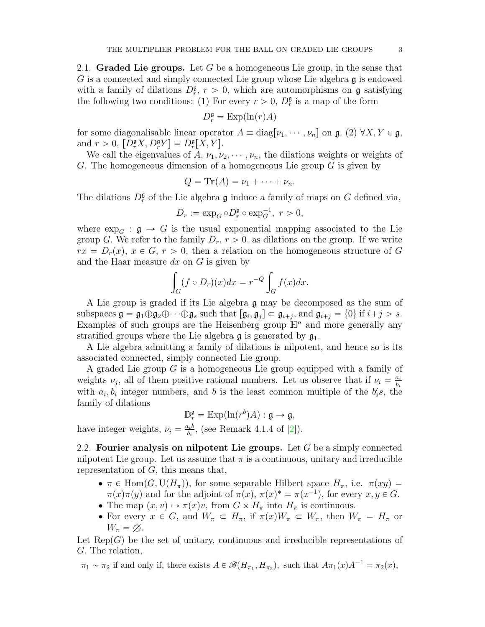2.1. Graded Lie groups. Let G be a homogeneous Lie group, in the sense that G is a connected and simply connected Lie group whose Lie algebra  $\mathfrak g$  is endowed with a family of dilations  $D_r^{\mathfrak{g}}, r > 0$ , which are automorphisms on **g** satisfying the following two conditions: (1) For every  $r > 0$ ,  $D_r^{\mathfrak{g}}$  is a map of the form

$$
D_r^{\mathfrak{g}} = \operatorname{Exp}(\ln(r)A)
$$

for some diagonalisable linear operator  $A = diag[\nu_1, \dots, \nu_n]$  on  $\mathfrak{g}$ . (2)  $\forall X, Y \in \mathfrak{g}$ , and  $r > 0$ ,  $[D_r^{\mathfrak{g}} X, D_r^{\mathfrak{g}} Y] = D_r^{\mathfrak{g}} [X, Y].$ 

We call the eigenvalues of A,  $\nu_1, \nu_2, \dots, \nu_n$ , the dilations weights or weights of G. The homogeneous dimension of a homogeneous Lie group  $G$  is given by

$$
Q = \mathbf{Tr}(A) = \nu_1 + \cdots + \nu_n.
$$

The dilations  $D_r^{\mathfrak{g}}$  of the Lie algebra  $\mathfrak g$  induce a family of maps on G defined via,

$$
D_r := \exp_G \circ D_r^{\mathfrak{g}} \circ \exp_G^{-1}, \ r > 0,
$$

where  $\exp_G : \mathfrak{g} \to G$  is the usual exponential mapping associated to the Lie group G. We refer to the family  $D_r$ ,  $r > 0$ , as dilations on the group. If we write  $rx = D_r(x), x \in G, r > 0$ , then a relation on the homogeneous structure of G and the Haar measure  $dx$  on  $G$  is given by

$$
\int_G (f \circ D_r)(x) dx = r^{-Q} \int_G f(x) dx.
$$

A Lie group is graded if its Lie algebra g may be decomposed as the sum of subspaces  $\mathfrak{g} = \mathfrak{g}_1 \oplus \mathfrak{g}_2 \oplus \cdots \oplus \mathfrak{g}_s$  such that  $[\mathfrak{g}_i, \mathfrak{g}_j] \subset \mathfrak{g}_{i+j}$  and  $\mathfrak{g}_{i+j} = \{0\}$  if  $i+j > s$ . Examples of such groups are the Heisenberg group  $\mathbb{H}^n$  and more generally any stratified groups where the Lie algebra  $\mathfrak g$  is generated by  $\mathfrak g_1$ .

A Lie algebra admitting a family of dilations is nilpotent, and hence so is its associated connected, simply connected Lie group.

A graded Lie group G is a homogeneous Lie group equipped with a family of weights  $\nu_j$ , all of them positive rational numbers. Let us observe that if  $\nu_i = \frac{a_i}{b_i}$  $b_i$ with  $a_i, b_i$  integer numbers, and b is the least common multiple of the  $b_i$ 's, the family of dilations

 $\mathbb{D}_{r}^{\mathfrak{g}} = \text{Exp}(\ln(r^{b})A) : \mathfrak{g} \to \mathfrak{g},$ have integer weights,  $\nu_i = \frac{a_i b}{b_i}$  $\frac{a_i b}{b_i}$ , (see Remark 4.1.4 of [\[2\]](#page-9-2)).

2.2. Fourier analysis on nilpotent Lie groups. Let  $G$  be a simply connected nilpotent Lie group. Let us assume that  $\pi$  is a continuous, unitary and irreducible representation of  $G$ , this means that,

- $\bullet \pi \in \text{Hom}(G, \text{U}(H_{\pi}))$ , for some separable Hilbert space  $H_{\pi}$ , i.e.  $\pi(xy) =$  $\pi(x)\pi(y)$  and for the adjoint of  $\pi(x)$ ,  $\pi(x)^* = \pi(x^{-1})$ , for every  $x, y \in G$ . • The map  $(x, v) \mapsto \pi(x)v$ , from  $G \times H_\pi$  into  $H_\pi$  is continuous.
- For every  $x \in G$ , and  $W_\pi \subset H_\pi$ , if  $\pi(x)W_\pi \subset W_\pi$ , then  $W_\pi = H_\pi$  or  $W_{\pi} = \varnothing$ .

Let  $\text{Rep}(G)$  be the set of unitary, continuous and irreducible representations of G. The relation,

 $\pi_1 \sim \pi_2$  if and only if, there exists  $A \in \mathscr{B}(H_{\pi_1}, H_{\pi_2})$ , such that  $A\pi_1(x)A^{-1} = \pi_2(x)$ ,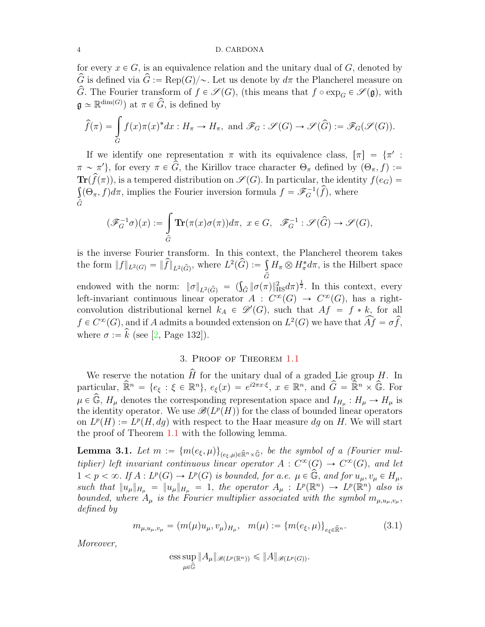#### 4 D. CARDONA

for every  $x \in G$ , is an equivalence relation and the unitary dual of G, denoted by  $\hat{G}$  is defined via  $\hat{G} := \text{Rep}(G)/\sim$ . Let us denote by  $d\pi$  the Plancherel measure on  $\widehat{G}$ . The Fourier transform of  $f \in \mathscr{S}(G)$ , (this means that  $f \circ \exp_G \in \mathscr{S}(\mathfrak{g})$ , with  $\mathfrak{g} \simeq \mathbb{R}^{\dim(G)}$  at  $\pi \in \widehat{G}$ , is defined by

$$
\widehat{f}(\pi) = \int_{G} f(x)\pi(x)^{*} dx : H_{\pi} \to H_{\pi}, \text{ and } \mathscr{F}_{G} : \mathscr{S}(G) \to \mathscr{S}(\widehat{G}) := \mathscr{F}_{G}(\mathscr{S}(G)).
$$

If we identify one representation  $\pi$  with its equivalence class,  $[\pi] = {\pi' : \pi$  $\pi \sim \pi'$ , for every  $\pi \in G$ , the Kirillov trace character  $\Theta_{\pi}$  defined by  $(\Theta_{\pi}, f) :=$  $\text{Tr}(\widehat{f}(\pi))$ , is a tempered distribution on  $\mathscr{S}(G)$ . In particular, the identity  $f(e_G)$  $\int_{\mathcal{A}} (\Theta_{\pi}, f) d\pi$ , implies the Fourier inversion formula  $f = \mathscr{F}_G^{-1}(\widehat{f})$ , where  $\mathcal G$ 

$$
(\mathscr{F}_G^{-1}\sigma)(x):=\int\limits_{\widehat{G}}\mathbf{Tr}(\pi(x)\sigma(\pi))d\pi,\ x\in G,\ \ \mathscr{F}_G^{-1}:\mathscr{S}(\widehat{G})\to\mathscr{S}(G),
$$

is the inverse Fourier transform. In this context, the Plancherel theorem takes the form  $||f||_{L^2(G)} = ||\widehat{f}||_{L^2(\widehat{G})}$ , where  $L^2(\widehat{G}) := \int H_{\pi} \otimes H_{\pi}^* d\pi$ , is the Hilbert space endowed with the norm:  $\|\sigma\|_{L^2(\widehat{G})} = (\int_{\widehat{G}} \|\sigma(\pi)\|_{\text{HS}}^2 d\pi)^{\frac{1}{2}}$ . In this context, every left-invariant continuous linear operator  $A: C^{\infty}(G) \to C^{\infty}(G)$ , has a rightconvolution distributional kernel  $k_A \in \mathcal{D}'(G)$ , such that  $Af = f * k$ , for all  $f \in C^{\infty}(G)$ , and if A admits a bounded extension on  $L^2(G)$  we have that  $\widehat{Af} = \sigma \widehat{f}$ , where  $\sigma := \hat{k}$  (see [\[2,](#page-9-2) Page 132]).

### 3. Proof of Theorem [1.1](#page-1-1)

<span id="page-3-0"></span>We reserve the notation  $\hat{H}$  for the unitary dual of a graded Lie group H. In particular,  $\widehat{\mathbb{R}}^n = \{e_{\xi} : \xi \in \mathbb{R}^n\}, e_{\xi}(x) = e^{i2\pi x \cdot \xi}, x \in \mathbb{R}^n$ , and  $\widehat{G} = \widehat{\mathbb{R}}^n \times \widehat{\mathbb{G}}$ . For  $\mu \in \widehat{\mathbb{G}}$ ,  $H_{\mu}$  denotes the corresponding representation space and  $I_{H_{\mu}} : H_{\mu} \to H_{\mu}$  is the identity operator. We use  $\mathscr{B}(L^p(H))$  for the class of bounded linear operators on  $L^p(H) := L^p(H, dg)$  with respect to the Haar measure dg on H. We will start the proof of Theorem [1.1](#page-1-1) with the following lemma.

<span id="page-3-1"></span>**Lemma 3.1.** Let  $m := \{m(e_{\xi},\mu)\}_{(e_{\xi},\mu)\in\hat{\mathbb{R}}^n\times\hat{\mathbb{G}}},$  be the symbol of a (Fourier multiplier) left invariant continuous linear operator  $A: C^{\infty}(G) \to C^{\infty}(G)$ , and let  $1 < p < \infty$ . If  $A : L^p(G) \to L^p(G)$  is bounded, for a.e.  $\mu \in \widehat{\mathbb{G}}$ , and for  $u_{\mu}, v_{\mu} \in H_{\mu}$ , such that  $||u_\mu||_{H_\mu} = ||u_\mu||_{H_\mu} = 1$ , the operator  $A_\mu : L^p(\mathbb{R}^n) \to L^p(\mathbb{R}^n)$  also is bounded, where  $A_\mu$  is the Fourier multiplier associated with the symbol  $m_{\mu, u_\mu, v_\mu}$ , defined by

$$
m_{\mu, u_{\mu}, v_{\mu}} = (m(\mu)u_{\mu}, v_{\mu})_{H_{\mu}}, \quad m(\mu) := \{m(e_{\xi}, \mu)\}_{e_{\xi} \in \widehat{\mathbb{R}}^n}.
$$
 (3.1)

Moreover,

ess sup 
$$
||A_{\mu}||_{\mathscr{B}(L^p(\mathbb{R}^n))} \le ||A||_{\mathscr{B}(L^p(G))}
$$
.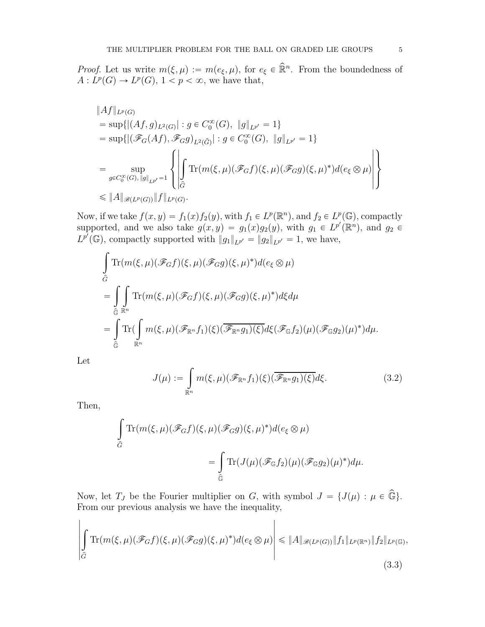*Proof.* Let us write  $m(\xi, \mu) := m(e_{\xi}, \mu)$ , for  $e_{\xi} \in \mathbb{R}^n$ . From the boundedness of  $A: L^p(G) \to L^p(G), 1 < p < \infty$ , we have that,

$$
\|Af\|_{L^p(G)}
$$
  
\n
$$
= \sup \{ |(Af,g)_{L^2(G)}| : g \in C_0^{\infty}(G), \|g\|_{L^{p'}} = 1 \}
$$
  
\n
$$
= \sup \{ |(\mathscr{F}_G(Af), \mathscr{F}_Gg)_{L^2(\widehat{G})}| : g \in C_0^{\infty}(G), \|g\|_{L^{p'}} = 1 \}
$$
  
\n
$$
= \sup_{g \in C_0^{\infty}(G), \|g\|_{L^{p'}} = 1} \left\{ \left| \int_{\widehat{G}} \text{Tr}(m(\xi, \mu)(\mathscr{F}_Gf)(\xi, \mu)(\mathscr{F}_Gg)(\xi, \mu)^* ) d(e_{\xi} \otimes \mu) \right| \right\}
$$
  
\n
$$
\leq \|A\|_{\mathscr{B}(L^p(G))} \|f\|_{L^p(G)}.
$$

Now, if we take  $f(x, y) = f_1(x) f_2(y)$ , with  $f_1 \in L^p(\mathbb{R}^n)$ , and  $f_2 \in L^p(\mathbb{G})$ , compactly supported, and we also take  $g(x, y) = g_1(x)g_2(y)$ , with  $g_1 \in L^{p'}(\mathbb{R}^n)$ , and  $g_2 \in L^{p'}(\mathbb{R}^n)$  $L^{p'}(\mathbb{G})$ , compactly supported with  $||g_1||_{L^{p'}} = ||g_2||_{L^{p'}} = 1$ , we have,

$$
\int_{\hat{G}} \text{Tr}(m(\xi,\mu)(\mathscr{F}_G f)(\xi,\mu)(\mathscr{F}_G g)(\xi,\mu)^*)d(e_{\xi} \otimes \mu)
$$
\n
$$
= \int_{\hat{G}} \int_{\mathbb{R}^n} \text{Tr}(m(\xi,\mu)(\mathscr{F}_G f)(\xi,\mu)(\mathscr{F}_G g)(\xi,\mu)^*)d\xi d\mu
$$
\n
$$
= \int_{\hat{G}} \text{Tr}(\int_{\mathbb{R}^n} m(\xi,\mu)(\mathscr{F}_{\mathbb{R}^n} f_1)(\xi)(\overline{\mathscr{F}_{\mathbb{R}^n} g_1)(\xi)}d\xi(\mathscr{F}_G f_2)(\mu)(\mathscr{F}_G g_2)(\mu)^*) d\mu.
$$

Let

$$
J(\mu) := \int_{\mathbb{R}^n} m(\xi, \mu) (\mathscr{F}_{\mathbb{R}^n} f_1)(\xi) (\overline{\mathscr{F}_{\mathbb{R}^n} g_1)(\xi)} d\xi.
$$
 (3.2)

Then,

$$
\begin{aligned} \int\limits_{\widehat{G}}\text{Tr}(m(\xi,\mu)(\mathscr{F}_Gf)(\xi,\mu)(\mathscr{F}_Gg)(\xi,\mu)^*)d(e_{\xi}\otimes\mu)\\ =\int\limits_{\widehat{\mathbb{G}}}\text{Tr}(J(\mu)(\mathscr{F}_{\mathbb{G}}f_2)(\mu)(\mathscr{F}_{\mathbb{G}}g_2)(\mu)^*)d\mu. \end{aligned}
$$

Now, let  $T_J$  be the Fourier multiplier on G, with symbol  $J = \{J(\mu) : \mu \in \widehat{\mathbb{G}}\}.$ From our previous analysis we have the inequality,

$$
\left| \int_{\widehat{G}} \text{Tr}(m(\xi,\mu)(\mathscr{F}_G f)(\xi,\mu)(\mathscr{F}_G g)(\xi,\mu)^*) d(e_{\xi} \otimes \mu) \right| \leqslant \|A\|_{\mathscr{B}(L^p(G))} \|f_1\|_{L^p(\mathbb{R}^n)} \|f_2\|_{L^p(\mathbb{G})},
$$
\n(3.3)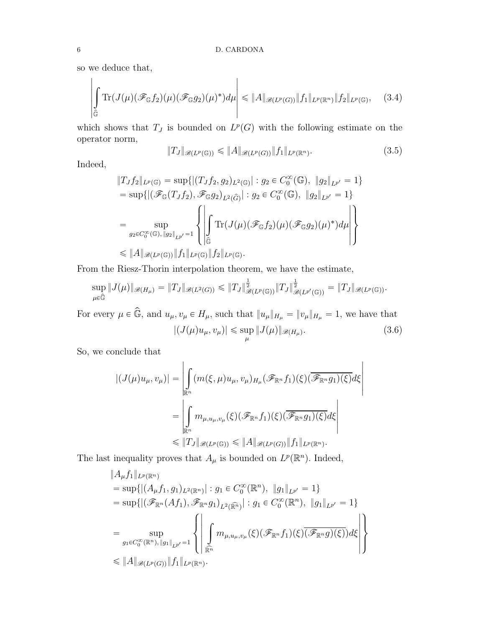so we deduce that,

$$
\left| \int_{\widehat{\mathbb{G}}} \mathrm{Tr}(J(\mu) (\mathscr{F}_{\mathbb{G}} f_2)(\mu) (\mathscr{F}_{\mathbb{G}} g_2)(\mu)^*) d\mu \right| \leqslant \|A\|_{\mathscr{B}(L^p(G))} \|f_1\|_{L^p(\mathbb{R}^n)} \|f_2\|_{L^p(\mathbb{G})}, \quad (3.4)
$$

which shows that  $T_J$  is bounded on  $L^p(G)$  with the following estimate on the operator norm,

$$
||T_J||_{\mathscr{B}(L^p(\mathbb{G}))} \le ||A||_{\mathscr{B}(L^p(G))} ||f_1||_{L^p(\mathbb{R}^n)}.
$$
\n(3.5)

Indeed,

$$
\|T_J f_2\|_{L^p(\mathbb{G})} = \sup \{ |(T_J f_2, g_2)_{L^2(\mathbb{G})}| : g_2 \in C_0^{\infty}(\mathbb{G}), \|g_2\|_{L^{p'}} = 1 \}
$$
  
\n
$$
= \sup \{ |(\mathscr{F}_{\mathbb{G}}(T_J f_2), \mathscr{F}_{\mathbb{G}}g_2)_{L^2(\hat{G})}| : g_2 \in C_0^{\infty}(\mathbb{G}), \|g_2\|_{L^{p'}} = 1 \}
$$
  
\n
$$
= \sup_{g_2 \in C_0^{\infty}(\mathbb{G}), \|g_2\|_{L^{p'}} = 1} \left\{ \left| \int_{\hat{\mathbb{G}}} \text{Tr}(J(\mu) (\mathscr{F}_{\mathbb{G}} f_2)(\mu) (\mathscr{F}_{\mathbb{G}} g_2)(\mu)^* ) d\mu \right| \right\}
$$
  
\n
$$
\leq \|A\|_{\mathscr{B}(L^p(\mathbb{G}))} \|f_1\|_{L^p(\mathbb{G})} \|f_2\|_{L^p(\mathbb{G})}.
$$

From the Riesz-Thorin interpolation theorem, we have the estimate,

$$
\sup_{\mu \in \widehat{\mathbb{G}}} \|J(\mu)\|_{\mathscr{B}(H_{\mu})} = \|T_J\|_{\mathscr{B}(L^2(G))} \le \|T_J\|_{\mathscr{B}(L^p(\mathbb{G}))}^{\frac{1}{2}} \|T_J\|_{\mathscr{B}(L^{p'}(\mathbb{G}))}^{\frac{1}{2}} = \|T_J\|_{\mathscr{B}(L^p(\mathbb{G}))}.
$$

For every  $\mu \in \widehat{\mathbb{G}}$ , and  $u_{\mu}, v_{\mu} \in H_{\mu}$ , such that  $||u_{\mu}||_{H_{\mu}} = ||v_{\mu}||_{H_{\mu}} = 1$ , we have that  $|(J(\mu)u_{\mu}, v_{\mu})| \leqslant \sup_{\mu} ||J(\mu)||_{\mathscr{B}(H_{\mu})}$  $(3.6)$ 

So, we conclude that

$$
|(J(\mu)u_{\mu},v_{\mu})| = \left| \int_{\mathbb{R}^n} (m(\xi,\mu)u_{\mu},v_{\mu})_{H_{\mu}} (\mathscr{F}_{\mathbb{R}^n}f_1)(\xi) (\overline{\mathscr{F}_{\mathbb{R}^n}g_1)(\xi)} d\xi \right|
$$
  

$$
= \left| \int_{\mathbb{R}^n} m_{\mu,u_{\mu},v_{\mu}}(\xi) (\mathscr{F}_{\mathbb{R}^n}f_1)(\xi) (\overline{\mathscr{F}_{\mathbb{R}^n}g_1)(\xi)} d\xi \right|
$$
  

$$
\leq \|T_J\|_{\mathscr{B}(L^p(\mathbb{G}))} \leq \|A\|_{\mathscr{B}(L^p(G))} \|f_1\|_{L^p(\mathbb{R}^n)}.
$$

The last inequality proves that  $A_{\mu}$  is bounded on  $L^p(\mathbb{R}^n)$ . Indeed,

$$
\|A_{\mu}f_1\|_{L^p(\mathbb{R}^n)}
$$
\n
$$
= \sup \{ |(A_{\mu}f_1, g_1)_{L^2(\mathbb{R}^n)}| : g_1 \in C_0^{\infty}(\mathbb{R}^n), \|g_1\|_{L^{p'}} = 1 \}
$$
\n
$$
= \sup \{ |(\mathscr{F}_{\mathbb{R}^n}(Af_1), \mathscr{F}_{\mathbb{R}^n}g_1)_{L^2(\mathbb{R}^n)}| : g_1 \in C_0^{\infty}(\mathbb{R}^n), \|g_1\|_{L^{p'}} = 1 \}
$$
\n
$$
= \sup_{g_1 \in C_0^{\infty}(\mathbb{R}^n), \|g_1\|_{L^{p'}} = 1} \left\{ \left| \int_{\mathbb{R}^n} m_{\mu, u_{\mu}, v_{\mu}}(\xi) (\mathscr{F}_{\mathbb{R}^n}f_1)(\xi) (\mathscr{F}_{\mathbb{R}^n}g)(\xi) d\xi \right| \right\}
$$
\n
$$
\leq \|A\|_{\mathscr{B}(L^p(G))} \|f_1\|_{L^p(\mathbb{R}^n)}.
$$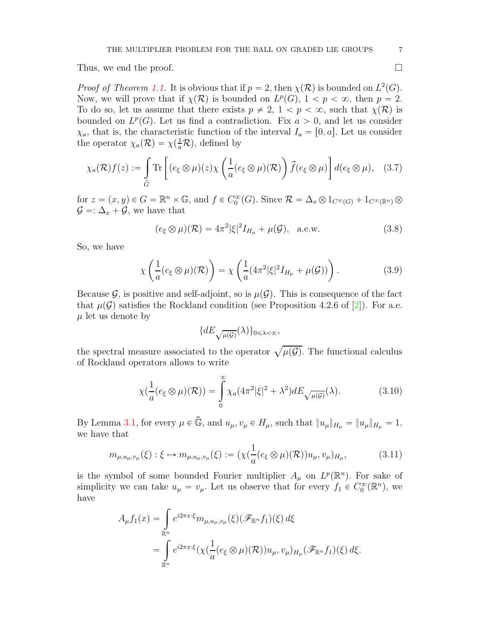Thus, we end the proof.

*Proof of Theorem [1.1.](#page-1-1)* It is obvious that if  $p = 2$ , then  $\chi(\mathcal{R})$  is bounded on  $L^2(G)$ . Now, we will prove that if  $\chi(\mathcal{R})$  is bounded on  $L^p(G)$ ,  $1 < p < \infty$ , then  $p = 2$ . To do so, let us assume that there exists  $p \neq 2$ ,  $1 < p < \infty$ , such that  $\chi(\mathcal{R})$  is bounded on  $L^p(G)$ . Let us find a contradiction. Fix  $a > 0$ , and let us consider  $\chi_a$ , that is, the characteristic function of the interval  $I_a = [0, a]$ . Let us consider the operator  $\chi_a(\mathcal{R}) = \chi(\frac{1}{a}\mathcal{R})$ , defined by

$$
\chi_a(\mathcal{R})f(z) := \int\limits_{\widehat{G}} \text{Tr}\left[ (e_{\xi} \otimes \mu)(z) \chi\left(\frac{1}{a}(e_{\xi} \otimes \mu)(\mathcal{R})\right) \widehat{f}(e_{\xi} \otimes \mu) \right] d(e_{\xi} \otimes \mu), \quad (3.7)
$$

for  $z = (x, y) \in G = \mathbb{R}^n \times \mathbb{G}$ , and  $f \in C_0^{\infty}(G)$ . Since  $\mathcal{R} = \Delta_x \otimes 1_{C^{\infty}(G)} + 1_{C^{\infty}(\mathbb{R}^n)} \otimes$  $\mathcal{G} = \Delta_x + \mathcal{G}$ , we have that

$$
(e_{\xi} \otimes \mu)(\mathcal{R}) = 4\pi^2 |\xi|^2 I_{H_{\mu}} + \mu(\mathcal{G}), \quad \text{a.e.w.}
$$
 (3.8)

So, we have

$$
\chi\left(\frac{1}{a}(e_{\xi}\otimes\mu)(\mathcal{R})\right) = \chi\left(\frac{1}{a}(4\pi^2|\xi|^2I_{H_{\mu}} + \mu(\mathcal{G}))\right). \tag{3.9}
$$

Because G, is positive and self-adjoint, so is  $\mu(\mathcal{G})$ . This is consequence of the fact that  $\mu(\mathcal{G})$  satisfies the Rockland condition (see Proposition 4.2.6 of [\[2\]](#page-9-2)). For a.e.  $\mu$  let us denote by

$$
\{dE_{\sqrt{\mu(\mathcal{G})}}(\lambda)\}_{0\leqslant \lambda < \infty},
$$

the spectral measure associated to the operator  $\sqrt{\mu(\mathcal{G})}$ . The functional calculus of Rockland operators allows to write

$$
\chi(\frac{1}{a}(e_{\xi}\otimes\mu)(\mathcal{R})) = \int_{0}^{\infty} \chi_{a}(4\pi^{2}|\xi|^{2} + \lambda^{2}) dE_{\sqrt{\mu(\mathcal{G})}}(\lambda).
$$
 (3.10)

By Lemma [3.1,](#page-3-1) for every  $\mu \in \widehat{\mathbb{G}}$ , and  $u_{\mu}, v_{\mu} \in H_{\mu}$ , such that  $||u_{\mu}||_{H_{\mu}} = ||u_{\mu}||_{H_{\mu}} = 1$ , we have that

$$
m_{\mu, u_{\mu}, v_{\mu}}(\xi) : \xi \mapsto m_{\mu, u_{\mu}, v_{\mu}}(\xi) := (\chi(\frac{1}{a}(e_{\xi} \otimes \mu)(\mathcal{R}))u_{\mu}, v_{\mu})_{H_{\mu}}, \tag{3.11}
$$

is the symbol of some bounded Fourier multiplier  $A_\mu$  on  $L^p(\mathbb{R}^n)$ . For sake of simplicity we can take  $u_{\mu} = v_{\mu}$ . Let us observe that for every  $f_1 \in C_0^{\infty}(\mathbb{R}^n)$ , we have

$$
A_{\mu}f_1(x) = \int_{\mathbb{R}^n} e^{i2\pi x \cdot \xi} m_{\mu, u_{\mu}, v_{\mu}}(\xi) (\mathscr{F}_{\mathbb{R}^n} f_1)(\xi) d\xi
$$
  
= 
$$
\int_{\mathbb{R}^n} e^{i2\pi x \cdot \xi} (\chi(\frac{1}{a}(e_{\xi} \otimes \mu)(\mathcal{R})) u_{\mu}, v_{\mu})_{H_{\mu}}(\mathscr{F}_{\mathbb{R}^n} f_1)(\xi) d\xi.
$$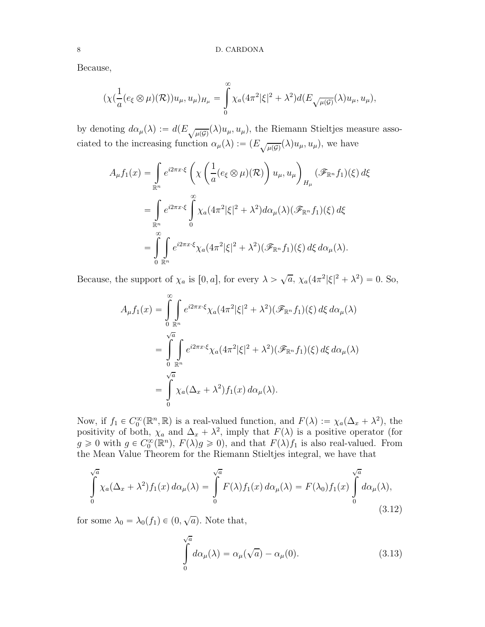Because,

$$
(\chi(\frac{1}{a}(e_{\xi}\otimes\mu)(\mathcal{R}))u_{\mu},u_{\mu})_{H_{\mu}}=\int_{0}^{\infty}\chi_{a}(4\pi^{2}|\xi|^{2}+\lambda^{2})d(E_{\sqrt{\mu(\mathcal{G})}}(\lambda)u_{\mu},u_{\mu}),
$$

by denoting  $d\alpha_{\mu}(\lambda) := d(E_{\sqrt{\mu(G)}}(\lambda)u_{\mu}, u_{\mu}),$  the Riemann Stieltjes measure associated to the increasing function  $\alpha_{\mu}(\lambda) := (E_{\sqrt{\mu(g)}}(\lambda)u_{\mu}, u_{\mu}),$  we have

$$
A_{\mu}f_1(x) = \int_{\mathbb{R}^n} e^{i2\pi x \cdot \xi} \left( \chi \left( \frac{1}{a} (e_{\xi} \otimes \mu)(\mathcal{R}) \right) u_{\mu}, u_{\mu} \right)_{H_{\mu}} (\mathscr{F}_{\mathbb{R}^n} f_1)(\xi) d\xi
$$
  

$$
= \int_{\mathbb{R}^n} e^{i2\pi x \cdot \xi} \int_0^{\infty} \chi_a(4\pi^2 |\xi|^2 + \lambda^2) d\alpha_{\mu}(\lambda) (\mathscr{F}_{\mathbb{R}^n} f_1)(\xi) d\xi
$$
  

$$
= \int_0^{\infty} \int_{\mathbb{R}^n} e^{i2\pi x \cdot \xi} \chi_a(4\pi^2 |\xi|^2 + \lambda^2) (\mathscr{F}_{\mathbb{R}^n} f_1)(\xi) d\xi d\alpha_{\mu}(\lambda).
$$

Because, the support of  $\chi_a$  is  $[0, a]$ , for every  $\lambda > \sqrt{a}$ ,  $\chi_a(4\pi^2|\xi|^2 + \lambda^2) = 0$ . So,

$$
A_{\mu}f_1(x) = \int_{0}^{\infty} \int_{\mathbb{R}^n} e^{i2\pi x \cdot \xi} \chi_a(4\pi^2 |\xi|^2 + \lambda^2) (\mathscr{F}_{\mathbb{R}^n} f_1)(\xi) d\xi d\alpha_{\mu}(\lambda)
$$
  

$$
= \int_{0}^{\sqrt{a}} \int_{\mathbb{R}^n} e^{i2\pi x \cdot \xi} \chi_a(4\pi^2 |\xi|^2 + \lambda^2) (\mathscr{F}_{\mathbb{R}^n} f_1)(\xi) d\xi d\alpha_{\mu}(\lambda)
$$
  

$$
= \int_{0}^{\sqrt{a}} \chi_a(\Delta_x + \lambda^2) f_1(x) d\alpha_{\mu}(\lambda).
$$

Now, if  $f_1 \in C_0^{\infty}(\mathbb{R}^n, \mathbb{R})$  is a real-valued function, and  $F(\lambda) := \chi_a(\Delta_x + \lambda^2)$ , the positivity of both,  $\chi_a$  and  $\Delta_x + \lambda^2$ , imply that  $F(\lambda)$  is a positive operator (for  $g \geq 0$  with  $g \in C_0^{\infty}(\mathbb{R}^n)$ ,  $F(\lambda)g \geq 0$ , and that  $F(\lambda)f_1$  is also real-valued. From the Mean Value Theorem for the Riemann Stieltjes integral, we have that

$$
\int_{0}^{\sqrt{a}} \chi_a(\Delta_x + \lambda^2) f_1(x) d\alpha_\mu(\lambda) = \int_{0}^{\sqrt{a}} F(\lambda) f_1(x) d\alpha_\mu(\lambda) = F(\lambda_0) f_1(x) \int_{0}^{\sqrt{a}} d\alpha_\mu(\lambda),
$$
\n(3.12)

for some  $\lambda_0 = \lambda_0(f_1) \in (0, \sqrt{a})$ . Note that,

$$
\int_{0}^{\sqrt{a}} d\alpha_{\mu}(\lambda) = \alpha_{\mu}(\sqrt{a}) - \alpha_{\mu}(0). \tag{3.13}
$$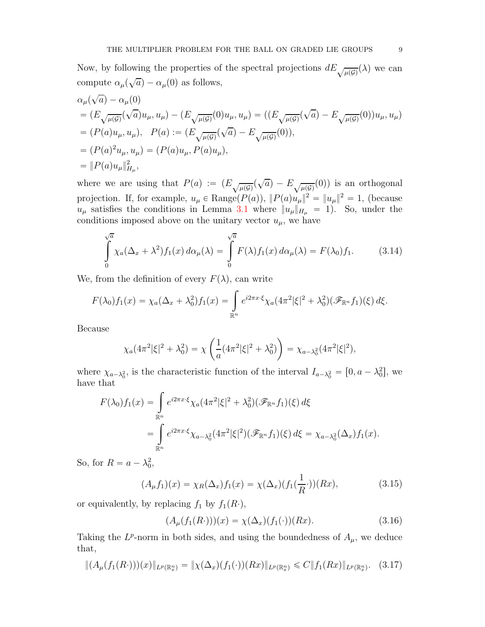Now, by following the properties of the spectral projections  $dE_{\sqrt{\mu(\mathcal{G})}}(\lambda)$  we can compute  $\alpha_{\mu}(\sqrt{a}) - \alpha_{\mu}(0)$  as follows,

$$
\alpha_{\mu}(\sqrt{a}) - \alpha_{\mu}(0)
$$
\n
$$
= (E_{\sqrt{\mu(G)}}(\sqrt{a})u_{\mu}, u_{\mu}) - (E_{\sqrt{\mu(G)}}(0)u_{\mu}, u_{\mu}) = ((E_{\sqrt{\mu(G)}}(\sqrt{a}) - E_{\sqrt{\mu(G)}}(0))u_{\mu}, u_{\mu})
$$
\n
$$
= (P(a)u_{\mu}, u_{\mu}), \quad P(a) := (E_{\sqrt{\mu(G)}}(\sqrt{a}) - E_{\sqrt{\mu(G)}}(0)),
$$
\n
$$
= (P(a)^{2}u_{\mu}, u_{\mu}) = (P(a)u_{\mu}, P(a)u_{\mu}),
$$
\n
$$
= ||P(a)u_{\mu}||_{H_{\mu}}^{2},
$$

where we are using that  $P(a) := (E_{\sqrt{\mu(g)}}($  $\sqrt{a}$ ) –  $E_{\sqrt{\mu(\mathcal{G})}}(0)$ ) is an orthogonal projection. If, for example,  $u_{\mu} \in \text{Range}(P(a)), ||P(a)u_{\mu}||^2 = ||u_{\mu}||^2 = 1$ , (because  $u_{\mu}$  satisfies the conditions in Lemma [3.1](#page-3-1) where  $||u_{\mu}||_{H_{\mu}} = 1$ . So, under the conditions imposed above on the unitary vector  $u_{\mu}$ , we have

$$
\int_{0}^{\sqrt{a}} \chi_a(\Delta_x + \lambda^2) f_1(x) d\alpha_\mu(\lambda) = \int_{0}^{\sqrt{a}} F(\lambda) f_1(x) d\alpha_\mu(\lambda) = F(\lambda_0) f_1.
$$
 (3.14)

We, from the definition of every  $F(\lambda)$ , can write

$$
F(\lambda_0) f_1(x) = \chi_a(\Delta_x + \lambda_0^2) f_1(x) = \int_{\mathbb{R}^n} e^{i2\pi x \cdot \xi} \chi_a(4\pi^2 |\xi|^2 + \lambda_0^2) (\mathscr{F}_{\mathbb{R}^n} f_1)(\xi) d\xi.
$$

Because

$$
\chi_a(4\pi^2|\xi|^2 + \lambda_0^2) = \chi\left(\frac{1}{a}(4\pi^2|\xi|^2 + \lambda_0^2)\right) = \chi_{a-\lambda_0^2}(4\pi^2|\xi|^2),
$$

where  $\chi_{a-\lambda_0^2}$ , is the characteristic function of the interval  $I_{a-\lambda_0^2} = [0, a-\lambda_0^2]$ , we have that

$$
F(\lambda_0) f_1(x) = \int_{\mathbb{R}^n} e^{i2\pi x \cdot \xi} \chi_a(4\pi^2 |\xi|^2 + \lambda_0^2) (\mathscr{F}_{\mathbb{R}^n} f_1)(\xi) d\xi
$$
  
= 
$$
\int_{\mathbb{R}^n} e^{i2\pi x \cdot \xi} \chi_{a-\lambda_0^2}(4\pi^2 |\xi|^2) (\mathscr{F}_{\mathbb{R}^n} f_1)(\xi) d\xi = \chi_{a-\lambda_0^2}(\Delta_x) f_1(x).
$$

So, for  $R = a - \lambda_0^2$ ,

$$
(A_{\mu}f_1)(x) = \chi_R(\Delta_x)f_1(x) = \chi(\Delta_x)(f_1(\frac{1}{R}\cdot))(Rx),
$$
\n(3.15)

or equivalently, by replacing  $f_1$  by  $f_1(R)$ ,

$$
(A_{\mu}(f_1(R\cdot)))(x) = \chi(\Delta_x)(f_1(\cdot))(Rx). \tag{3.16}
$$

Taking the  $L^p$ -norm in both sides, and using the boundedness of  $A_\mu$ , we deduce that,

$$
\|(A_{\mu}(f_1(R\cdot)))(x)\|_{L^p(\mathbb{R}^n_x)} = \|\chi(\Delta_x)(f_1(\cdot))(Rx)\|_{L^p(\mathbb{R}^n_x)} \leq C \|f_1(Rx)\|_{L^p(\mathbb{R}^n_x)}.
$$
 (3.17)